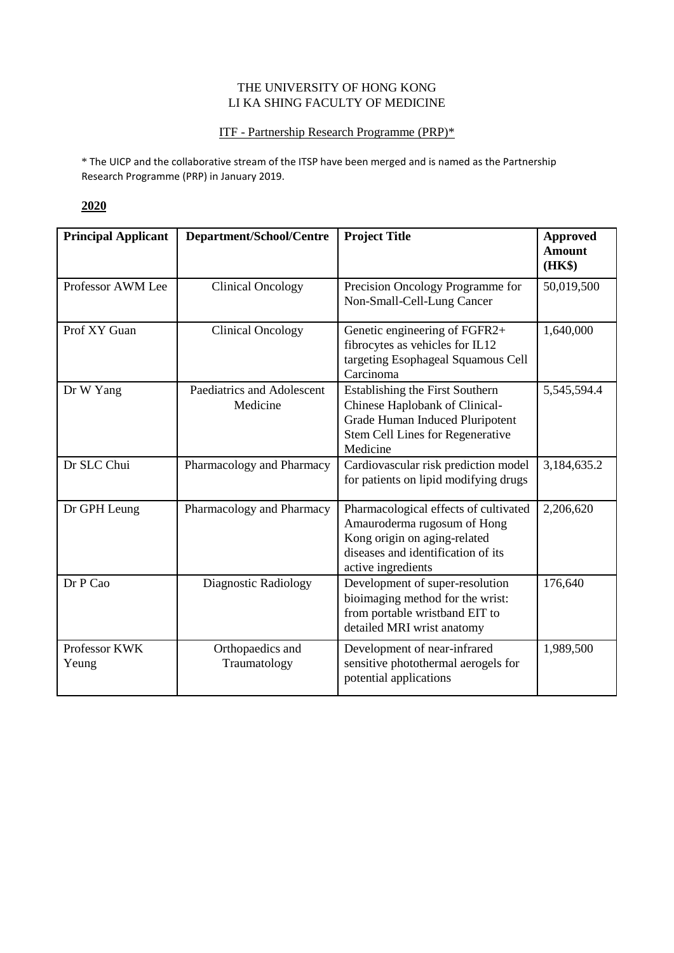#### THE UNIVERSITY OF HONG KONG LI KA SHING FACULTY OF MEDICINE

#### ITF - Partnership Research Programme (PRP)\*

\* The UICP and the collaborative stream of the ITSP have been merged and is named as the Partnership Research Programme (PRP) in January 2019.

| <b>Principal Applicant</b> | Department/School/Centre               | <b>Project Title</b>                                                                                                                                             | <b>Approved</b><br><b>Amount</b><br>(HK\$) |
|----------------------------|----------------------------------------|------------------------------------------------------------------------------------------------------------------------------------------------------------------|--------------------------------------------|
| Professor AWM Lee          | <b>Clinical Oncology</b>               | Precision Oncology Programme for<br>Non-Small-Cell-Lung Cancer                                                                                                   | 50,019,500                                 |
| Prof XY Guan               | <b>Clinical Oncology</b>               | Genetic engineering of FGFR2+<br>fibrocytes as vehicles for IL12<br>targeting Esophageal Squamous Cell<br>Carcinoma                                              | 1,640,000                                  |
| Dr W Yang                  | Paediatrics and Adolescent<br>Medicine | <b>Establishing the First Southern</b><br>Chinese Haplobank of Clinical-<br>Grade Human Induced Pluripotent<br>Stem Cell Lines for Regenerative<br>Medicine      | 5,545,594.4                                |
| Dr SLC Chui                | Pharmacology and Pharmacy              | Cardiovascular risk prediction model<br>for patients on lipid modifying drugs                                                                                    | 3,184,635.2                                |
| Dr GPH Leung               | Pharmacology and Pharmacy              | Pharmacological effects of cultivated<br>Amauroderma rugosum of Hong<br>Kong origin on aging-related<br>diseases and identification of its<br>active ingredients | 2,206,620                                  |
| Dr P Cao                   | Diagnostic Radiology                   | Development of super-resolution<br>bioimaging method for the wrist:<br>from portable wristband EIT to<br>detailed MRI wrist anatomy                              | 176,640                                    |
| Professor KWK<br>Yeung     | Orthopaedics and<br>Traumatology       | Development of near-infrared<br>sensitive photothermal aerogels for<br>potential applications                                                                    | 1,989,500                                  |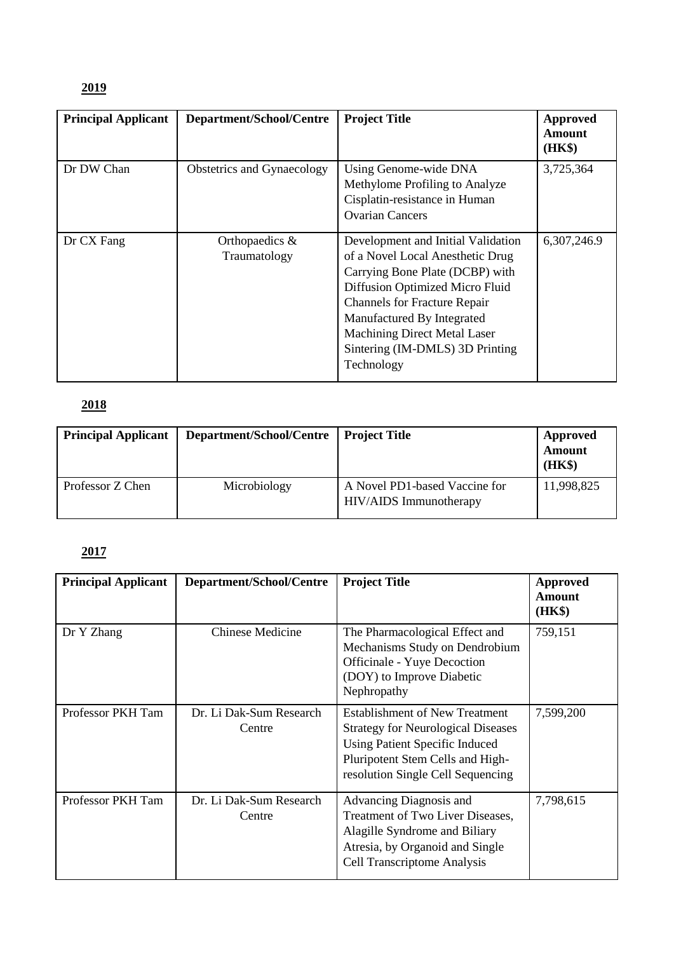## **2019**

| <b>Principal Applicant</b> | Department/School/Centre          | <b>Project Title</b>                                                                                                                                                                                                                                                                                      | Approved<br><b>Amount</b><br>(HK\$) |
|----------------------------|-----------------------------------|-----------------------------------------------------------------------------------------------------------------------------------------------------------------------------------------------------------------------------------------------------------------------------------------------------------|-------------------------------------|
| Dr DW Chan                 | Obstetrics and Gynaecology        | Using Genome-wide DNA<br>Methylome Profiling to Analyze<br>Cisplatin-resistance in Human<br><b>Ovarian Cancers</b>                                                                                                                                                                                        | 3,725,364                           |
| Dr CX Fang                 | Orthopaedics $\&$<br>Traumatology | Development and Initial Validation<br>of a Novel Local Anesthetic Drug<br>Carrying Bone Plate (DCBP) with<br>Diffusion Optimized Micro Fluid<br><b>Channels for Fracture Repair</b><br>Manufactured By Integrated<br><b>Machining Direct Metal Laser</b><br>Sintering (IM-DMLS) 3D Printing<br>Technology | 6,307,246.9                         |

## **2018**

| <b>Principal Applicant</b> | Department/School/Centre | <b>Project Title</b>                                    | <b>Approved</b><br><b>Amount</b><br>(HK\$) |
|----------------------------|--------------------------|---------------------------------------------------------|--------------------------------------------|
| Professor Z Chen           | Microbiology             | A Novel PD1-based Vaccine for<br>HIV/AIDS Immunotherapy | 11,998,825                                 |

| <b>Principal Applicant</b> | Department/School/Centre          | <b>Project Title</b>                                                                                                                                                                          | Approved<br>Amount<br>(HK\$) |
|----------------------------|-----------------------------------|-----------------------------------------------------------------------------------------------------------------------------------------------------------------------------------------------|------------------------------|
| Dr Y Zhang                 | <b>Chinese Medicine</b>           | The Pharmacological Effect and<br>Mechanisms Study on Dendrobium<br>Officinale - Yuye Decoction<br>(DOY) to Improve Diabetic<br>Nephropathy                                                   | 759,151                      |
| Professor PKH Tam          | Dr. Li Dak-Sum Research<br>Centre | <b>Establishment of New Treatment</b><br><b>Strategy for Neurological Diseases</b><br>Using Patient Specific Induced<br>Pluripotent Stem Cells and High-<br>resolution Single Cell Sequencing | 7,599,200                    |
| Professor PKH Tam          | Dr. Li Dak-Sum Research<br>Centre | Advancing Diagnosis and<br>Treatment of Two Liver Diseases,<br>Alagille Syndrome and Biliary<br>Atresia, by Organoid and Single<br><b>Cell Transcriptome Analysis</b>                         | 7,798,615                    |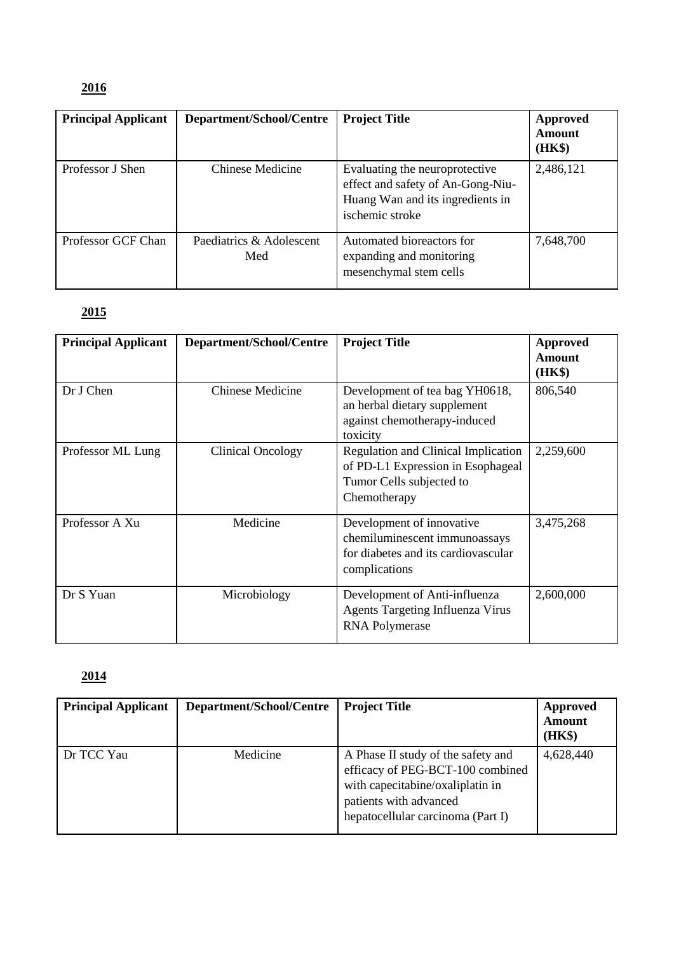## **2016**

| <b>Principal Applicant</b> | Department/School/Centre        | <b>Project Title</b>                                                                                                       | Approved<br>Amount<br>(HK\$) |
|----------------------------|---------------------------------|----------------------------------------------------------------------------------------------------------------------------|------------------------------|
| Professor J Shen           | <b>Chinese Medicine</b>         | Evaluating the neuroprotective<br>effect and safety of An-Gong-Niu-<br>Huang Wan and its ingredients in<br>ischemic stroke | 2,486,121                    |
| Professor GCF Chan         | Paediatrics & Adolescent<br>Med | Automated bioreactors for<br>expanding and monitoring<br>mesenchymal stem cells                                            | 7,648,700                    |

## **2015**

| <b>Principal Applicant</b> | Department/School/Centre | <b>Project Title</b>                                                                                                 | Approved<br>Amount<br>(HK\$) |
|----------------------------|--------------------------|----------------------------------------------------------------------------------------------------------------------|------------------------------|
| Dr J Chen                  | <b>Chinese Medicine</b>  | Development of tea bag YH0618,<br>an herbal dietary supplement<br>against chemotherapy-induced<br>toxicity           | 806,540                      |
| Professor ML Lung          | <b>Clinical Oncology</b> | Regulation and Clinical Implication<br>of PD-L1 Expression in Esophageal<br>Tumor Cells subjected to<br>Chemotherapy | 2,259,600                    |
| Professor A Xu             | Medicine                 | Development of innovative<br>chemiluminescent immunoassays<br>for diabetes and its cardiovascular<br>complications   | 3,475,268                    |
| Dr S Yuan                  | Microbiology             | Development of Anti-influenza<br><b>Agents Targeting Influenza Virus</b><br><b>RNA Polymerase</b>                    | 2,600,000                    |

| <b>Principal Applicant</b> | Department/School/Centre | <b>Project Title</b>                                                                                                                                                      | Approved<br><b>Amount</b><br>(HK\$) |
|----------------------------|--------------------------|---------------------------------------------------------------------------------------------------------------------------------------------------------------------------|-------------------------------------|
| Dr TCC Yau                 | Medicine                 | A Phase II study of the safety and<br>efficacy of PEG-BCT-100 combined<br>with capecitabine/oxaliplatin in<br>patients with advanced<br>hepatocellular carcinoma (Part I) | 4,628,440                           |